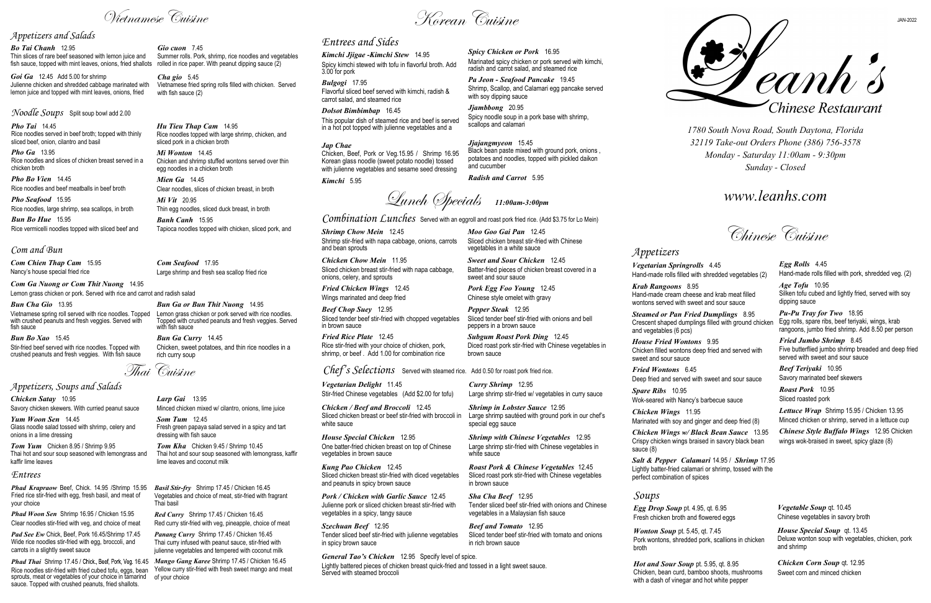*Egg Rolls* 4.45 Hand-made rolls filled with pork, shredded veg. (2)

*Age Tofu* 10.95 Silken tofu cubed and lightly fried, served with soy dipping sauce

*Pu-Pu Tray for Two* 18.95 Egg rolls, spare ribs, beef teriyaki, wings, krab rangoons, jumbo fried shrimp. Add 8.50 per person

*Fried Jumbo Shrimp* 8.45 Five butterflied jumbo shrimp breaded and deep fried served with sweet and sour sauce

*Beef Teriyaki* 10.95 Savory marinated beef skewers

*Roast Pork* 10.95 Sliced roasted pork

*Lettuce Wrap* Shrimp 15.95 / Chicken 13.95 Minced chicken or shrimp, served in a lettuce cup

*Chinese Style Buffalo Wings* 12.95 Chicken wings wok-braised in sweet, spicy glaze (8)

*1780 South Nova Road, South Daytona, Florida 32119 Take-out Orders Phone (386) 756-3578 Monday - Saturday 11:00am - 9:30pm Sunday - Closed* 

*www.leanhs.com*

Chinese Cuisine

*Appetizers*

*Vegetarian Springrolls* 4.45 Hand-made rolls filled with shredded vegetables (2) *Krab Rangoons* 8.95 Hand-made cream cheese and krab meat filled wontons served with sweet and sour sauce *Steamed or Pan Fried Dumplings* 8.95

Crescent shaped dumplings filled with ground chicken and vegetables (6 pcs)

*House Fried Wontons* 9.95 Chicken filled wontons deep fried and served with sweet and sour sauce

*Fried Wontons* 6.45

*Jap Chae*  Chicken, Beef, Pork or Veg.15.95 / Shrimp 16.95 Korean glass noodle (sweet potato noodle) tossed with julienne vegetables and sesame seed dressing

> Deep fried and served with sweet and sour sauce *Spare Ribs* 10.95

Wok-seared with Nancy's barbecue sauce

*Chicken Wings* 11.95

Marinated with soy and ginger and deep fried (8)

*Chicken Wings w/ Black Bean Sauce* 13.95 Crispy chicken wings braised in savory black bean

sauce (8)

*Salt & Pepper Calamari* 14.95 / *Shrimp* 17.95 Lightly batter-fried calamari or shrimp, tossed with the perfect combination of spices

*Soups*

*Egg Drop Soup* pt. 4.95, qt. 6.95 Fresh chicken broth and flowered eggs

*Wonton Soup* pt. 5.45, qt. 7.45 Pork wontons, shredded pork, scallions in chicken

broth

*Hot and Sour Soup* pt. 5.95, qt. 8.95 Chicken, bean curd, bamboo shoots, mushrooms with a dash of vinegar and hot white pepper

Deanh's Chinese Restaurant

*Vegetable Soup* qt. 10.45 Chinese vegetables in savory broth

*House Special Soup* qt. 13.45 Deluxe wonton soup with vegetables, chicken, pork and shrimp

*Chicken Corn Soup* qt. 12.95 Sweet corn and minced chicken

# *Entrees and Sides*

*Kimchi Jjigae -Kimchi Stew* 14.95 Spicy kimchi stewed with tofu in flavorful broth. Add 3.00 for pork

*Bulgogi* 17.95 Flavorful sliced beef served with kimchi, radish & carrot salad, and steamed rice

*Dolsot Bimbimbap* 16.45 This popular dish of steamed rice and beef is served in a hot pot topped with julienne vegetables and a

> *Shrimp with Chinese Vegetables* 12.95 Large shrimp stir-fried with Chinese vegetables in white sauce

*Kimchi* 5.95

*Spicy Chicken or Pork* 16.95

Marinated spicy chicken or pork served with kimchi, radish and carrot salad, and steamed rice *Pa Jeon - Seafood Pancake* 19.45

## *Bo Tai Chanh* 12.95 Thin slices of rare beef seasoned with lemon juice and fish sauce, topped with mint leaves, onions, fried shallots rolled in rice paper. With peanut dipping sauce (2)

Shrimp, Scallop, and Calamari egg pancake served

with soy dipping sauce *Jjambbong* 20.95

# Spicy noodle soup in a pork base with shrimp,

scallops and calamari

*Jjajangmyeon* 15.45 Black bean paste mixed with ground pork, onions , potatoes and noodles, topped with pickled daikon and cucumber

*Radish and Carrot* 5.95

Vietnamese Cuisine

Lunch Specials *11:00am-3:00pm*

*Combination Lunches* Served with an eggroll and roast pork fried rice. (Add \$3.75 for Lo Mein)

*Shrimp Chow Mein* 12.45 Shrimp stir-fried with napa cabbage, onions, carrots and bean sprouts

*Chicken Chow Mein* 11.95 Sliced chicken breast stir-fried with napa cabbage, onions, celery, and sprouts

*Fried Chicken Wings* 12.45 Wings marinated and deep fried

*Beef Chop Suey* 12.95 Sliced tender beef stir-fried with chopped vegetables in brown sauce

*Fried Rice Plate* 12.45 Rice stir-fried with your choice of chicken, pork, shrimp, or beef . Add 1.00 for combination rice

## *Chef's Selections* Served with steamed rice. Add 0.50 for roast pork fried rice.

*Moo Goo Gai Pan* 12.45 Sliced chicken breast stir-fried with Chinese vegetables in a white sauce

*Sweet and Sour Chicken* 12.45 Batter-fried pieces of chicken breast covered in a sweet and sour sauce

*Pork Egg Foo Young* 12.45 Chinese style omelet with gravy

*Pepper Steak* 12.95 Sliced tender beef stir-fried with onions and bell peppers in a brown sauce

*Subgum Roast Pork Ding* 12.45 Diced roast pork stir-fried with Chinese vegetables in brown sauce

*Vegetarian Delight* 11.45 Stir-fried Chinese vegetables (Add \$2.00 for tofu)

*Chicken / Beef and Broccoli* 12.45 Sliced chicken breast or beef stir-fried with broccoli in white sauce

*House Special Chicken* 12.95 One batter-fried chicken breast on top of Chinese vegetables in brown sauce

*Kung Pao Chicken* 12.45 Sliced chicken breast stir-fried with diced vegetables and peanuts in spicy brown sauce

Phad Thai Shrimp 17.45 / Chick., Beef, Pork, Veg. 16.45 Mango Gang Karee Shrimp 17.45 / Chicken 16.45 of your choice

*Pork / Chicken with Garlic Sauce* 12.45 Julienne pork or sliced chicken breast stir-fried with vegetables in a spicy, tangy sauce

*Szechuan Beef* 12.95 Tender sliced beef stir-fried with julienne vegetables in spicy brown sauce

*Curry Shrimp* 12.95

Large shrimp stir-fried w/ vegetables in curry sauce *Shrimp in Lobster Sauce* 12.95

Large shrimp sautéed with ground pork in our chef's special egg sauce

*Roast Pork & Chinese Vegetables* 12.45 Sliced roast pork stir-fried with Chinese vegetables in brown sauce

*Sha Cha Beef* 12.95 Tender sliced beef stir-fried with onions and Chinese vegetables in a Malaysian fish sauce

*Beef and Tomato* 12.95 Sliced tender beef stir-fried with tomato and onions in rich brown sauce

## *General Tao's Chicken* 12.95 Specify level of spice.

Lightly battered pieces of chicken breast quick-fried and tossed in a light sweet sauce. Served with steamed broccoli

## *Appetizers and Salads*

*Goi Ga* 12.45 Add 5.00 for shrimp Julienne chicken and shredded cabbage marinated with lemon juice and topped with mint leaves, onions, fried

*Noodle Soups* Split soup bowl add 2.00

*Pho Tai* 14.45 Rice noodles served in beef broth; topped with thinly sliced beef, onion, cilantro and basil

*Pho Ga* 13.95 Rice noodles and slices of chicken breast served in a chicken broth

*Pho Bo Vien* 14.45 Rice noodles and beef meatballs in beef broth

*Pho Seafood* 15.95 Rice noodles, large shrimp, sea scallops, in broth

*Bun Bo Hue* 15.95 Rice vermicelli noodles topped with sliced beef and

## *Com and Bun*

*Com Chien Thap Cam* 15.95 Nancy's house special fried rice

*Gio cuon* 7.45 Summer rolls. Pork, shrimp, rice noodles and vegetables

*Cha gio* 5.45 Vietnamese fried spring rolls filled with chicken. Served with fish sauce (2)

*Hu Tieu Thap Cam* 14.95 Rice noodles topped with large shrimp, chicken, and sliced pork in a chicken broth

*Mi Wonton* 14.45 Chicken and shrimp stuffed wontons served over thin egg noodles in a chicken broth

*Mien Ga* 14.45 Clear noodles, slices of chicken breast, in broth

*Mi Vit* 20.95 Thin egg noodles, sliced duck breast, in broth

*Banh Canh* 15.95 Tapioca noodles topped with chicken, sliced pork, and

*Com Seafood* 17.95 Large shrimp and fresh sea scallop fried rice

*Com Ga Nuong or Com Thit Nuong* 14.95 Lemon grass chicken or pork. Served with rice and carrot and radish salad

*Bun Cha Gio* 13.95 Vietnamese spring roll served with rice noodles. Topped with crushed peanuts and fresh veggies. Served with fish sauce

*Bun Bo Xao* 15.45 Stir-fried beef served with rice noodles. Topped with crushed peanuts and fresh veggies. With fish sauce

*Bun Ga or Bun Thit Nuong* 14.95 Lemon grass chicken or pork served with rice noodles. Topped with crushed peanuts and fresh veggies. Served with fish sauce

*Bun Ga Curry* 14.45 Chicken, sweet potatoes, and thin rice noodles in a rich curry soup

Korean Cuisine

Thai Cuisine

## *Appetizers, Soups and Salads*

*Larp Gai* 13.95 Minced chicken mixed w/ cilantro, onions, lime juice

*Som Tum* 12.45 Fresh green papaya salad served in a spicy and tart dressing with fish sauce

*Tom Kha* Chicken 9.45 / Shrimp 10.45 Thai hot and sour soup seasoned with lemongrass, kaffir lime leaves and coconut milk

*Chicken Satay* 10.95 Savory chicken skewers. With curried peanut sauce

*Yum Woon Sen* 14.45 Glass noodle salad tossed with shrimp, celery and onions in a lime dressing

*Tom Yum* Chicken 8.95 / Shrimp 9.95 Thai hot and sour soup seasoned with lemongrass and kaffir lime leaves

## *Entrees*

*Phad Krapraow* Beef, Chick. 14.95 /Shrimp 15.95 Fried rice stir-fried with egg, fresh basil, and meat of your choice

*Phad Woon Sen* Shrimp 16.95 / Chicken 15.95 Clear noodles stir-fried with veg, and choice of meat

*Pad See Ew* Chick, Beef, Pork 16.45/Shrimp 17.45 Wide rice noodles stir-fried with egg, broccoli, and carrots in a slightly sweet sauce

Rice noodles stir-fried with fried cubed tofu, eggs, bean Yellow curry stir-fried with fresh sweet mango and meat sprouts, meat or vegetables of your choice in tamarind sauce. Topped with crushed peanuts, fried shallots.

*Basil Stir-fry* Shrimp 17.45 / Chicken 16.45 Vegetables and choice of meat, stir-fried with fragrant Thai basil

*Red Curry* Shrimp 17.45 / Chicken 16.45 Red curry stir-fried with veg, pineapple, choice of meat

*Panang Curry* Shrimp 17.45 / Chicken 16.45 Thai curry infused with peanut sauce, stir-fried with julienne vegetables and tempered with coconut milk